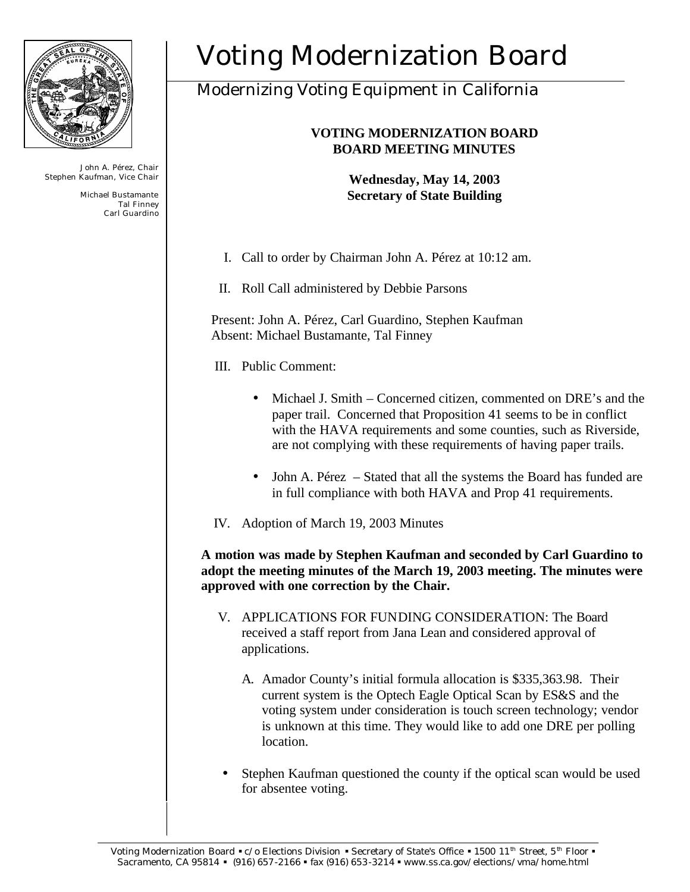

John A. Pérez, Chair Stephen Kaufman, Vice Chair

> Michael Bustamante Tal Finney Carl Guardino

## Voting Modernization Board

## Modernizing Voting Equipment in California

## **VOTING MODERNIZATION BOARD BOARD MEETING MINUTES**

**Wednesday, May 14, 2003 Secretary of State Building**

- I. Call to order by Chairman John A. Pérez at 10:12 am.
- II. Roll Call administered by Debbie Parsons

Present: John A. Pérez, Carl Guardino, Stephen Kaufman Absent: Michael Bustamante, Tal Finney

- III. Public Comment:
	- Michael J. Smith Concerned citizen, commented on DRE's and the paper trail. Concerned that Proposition 41 seems to be in conflict with the HAVA requirements and some counties, such as Riverside, are not complying with these requirements of having paper trails.
	- John A. Pérez Stated that all the systems the Board has funded are in full compliance with both HAVA and Prop 41 requirements.
- IV. Adoption of March 19, 2003 Minutes

**A motion was made by Stephen Kaufman and seconded by Carl Guardino to adopt the meeting minutes of the March 19, 2003 meeting. The minutes were approved with one correction by the Chair.** 

- V. APPLICATIONS FOR FUNDING CONSIDERATION: The Board received a staff report from Jana Lean and considered approval of applications.
	- A. Amador County's initial formula allocation is \$335,363.98. Their current system is the Optech Eagle Optical Scan by ES&S and the voting system under consideration is touch screen technology; vendor is unknown at this time. They would like to add one DRE per polling location.
- Stephen Kaufman questioned the county if the optical scan would be used for absentee voting.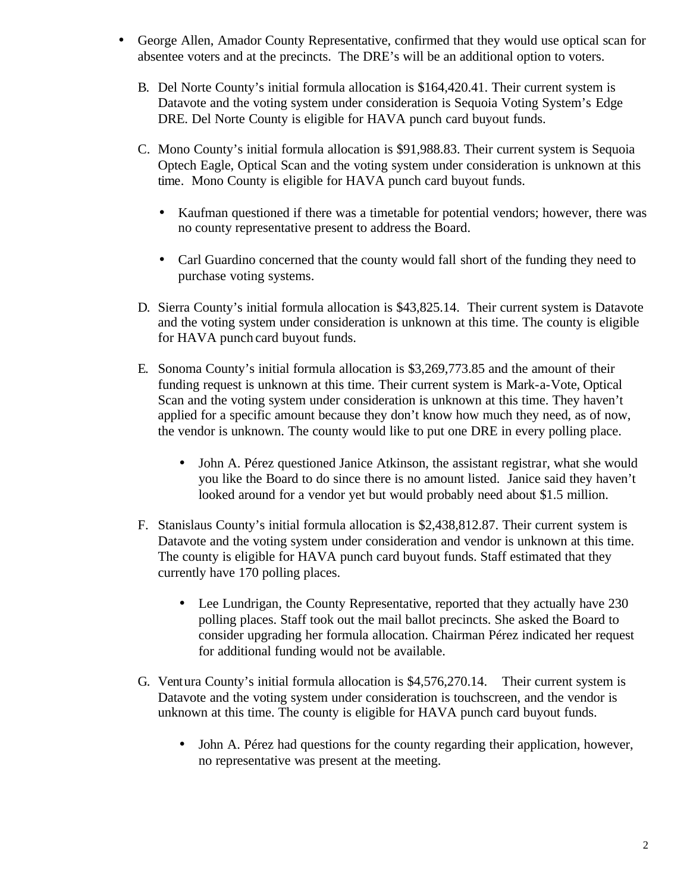- George Allen, Amador County Representative, confirmed that they would use optical scan for absentee voters and at the precincts. The DRE's will be an additional option to voters.
	- B. Del Norte County's initial formula allocation is \$164,420.41. Their current system is Datavote and the voting system under consideration is Sequoia Voting System's Edge DRE. Del Norte County is eligible for HAVA punch card buyout funds.
	- C. Mono County's initial formula allocation is \$91,988.83. Their current system is Sequoia Optech Eagle, Optical Scan and the voting system under consideration is unknown at this time. Mono County is eligible for HAVA punch card buyout funds.
		- Kaufman questioned if there was a timetable for potential vendors; however, there was no county representative present to address the Board.
		- Carl Guardino concerned that the county would fall short of the funding they need to purchase voting systems.
	- D. Sierra County's initial formula allocation is \$43,825.14. Their current system is Datavote and the voting system under consideration is unknown at this time. The county is eligible for HAVA punch card buyout funds.
	- E. Sonoma County's initial formula allocation is \$3,269,773.85 and the amount of their funding request is unknown at this time. Their current system is Mark-a-Vote, Optical Scan and the voting system under consideration is unknown at this time. They haven't applied for a specific amount because they don't know how much they need, as of now, the vendor is unknown. The county would like to put one DRE in every polling place.
		- John A. Pérez questioned Janice Atkinson, the assistant registrar, what she would you like the Board to do since there is no amount listed. Janice said they haven't looked around for a vendor yet but would probably need about \$1.5 million.
	- F. Stanislaus County's initial formula allocation is \$2,438,812.87. Their current system is Datavote and the voting system under consideration and vendor is unknown at this time. The county is eligible for HAVA punch card buyout funds. Staff estimated that they currently have 170 polling places.
		- Lee Lundrigan, the County Representative, reported that they actually have 230 polling places. Staff took out the mail ballot precincts. She asked the Board to consider upgrading her formula allocation. Chairman Pérez indicated her request for additional funding would not be available.
	- G. Ventura County's initial formula allocation is \$4,576,270.14. Their current system is Datavote and the voting system under consideration is touchscreen, and the vendor is unknown at this time. The county is eligible for HAVA punch card buyout funds.
		- John A. Pérez had questions for the county regarding their application, however, no representative was present at the meeting.